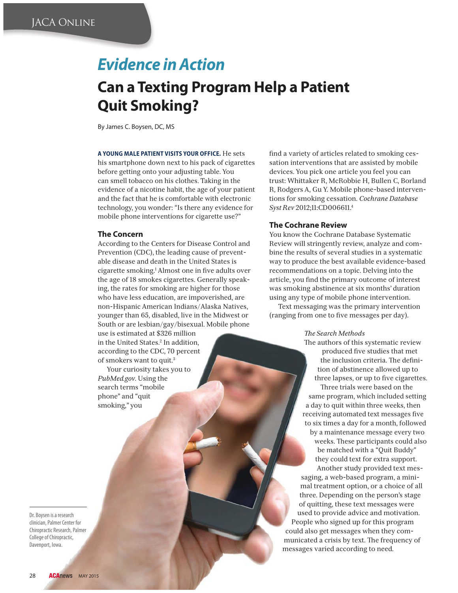# *Evidence in Action*

# **Can a Texting Program Help a Patient**

**By James C. Boysen, DC, MS** 

**A YOUNG MALE PATIENT VISITS YOUR OFFICE.** He sets his smartphone down next to his pack of cigarettes before getting onto your adjusting table. You can smell tobacco on his clothes. Taking in the evidence of a nicotine habit, the age of your patient and the fact that he is comfortable with electronic technology, you wonder: "Is there any evidence for mobile phone interventions for cigarette use?"

### **The Concern**

According to the Centers for Disease Control and Prevention (CDC), the leading cause of preventable disease and death in the United States is cigarette smoking.<sup>1</sup> Almost one in five adults over the age of 18 smokes cigarettes. Generally speaking, the rates for smoking are higher for those who have less education, are impoverished, are non-Hispanic American Indians/Alaska Natives, younger than 65, disabled, live in the Midwest or South or are lesbian/gay/bisexual. Mobile phone use is estimated at \$326 million

in the United States.2 In addition, according to the CDC, 70 percent of smokers want to quit.3

Your curiosity takes you to *PubMed.gov*. Using the search terms "mobile phone" and "quit smoking," you

Dr. Boysen is a research<br>clinician, Palmer Center for Chiropractic Research, Palmer College of Chiropractic, Davenport, Iowa. Davenport, Iowa.

find a variety of articles related to smoking cessation interventions that are assisted by mobile devices. You pick one article you feel you can trust: Whittaker R, McRobbie H, Bullen C, Borland R, Rodgers A, Gu Y. Mobile phone-based interventions for smoking cessation. *Cochrane Database Syst Rev* 2012;11:CD006611.4

#### **The Cochrane Review**

You know the Cochrane Database Systematic Review will stringently review, analyze and combine the results of several studies in a systematic way to produce the best available evidence-based recommendations on a topic. Delving into the article, you find the primary outcome of interest was smoking abstinence at six months' duration using any type of mobile phone intervention.

Text messaging was the primary intervention (ranging from one to five messages per day).

#### *- e Search Methods*

The authors of this systematic review produced five studies that met the inclusion criteria. The definition of abstinence allowed up to three lapses, or up to five cigarettes. Three trials were based on the same program, which included setting a day to quit within three weeks, then receiving automated text messages five to six times a day for a month, followed by a maintenance message every two weeks. These participants could also be matched with a "Quit Buddy" they could text for extra support. Another study provided text mes-

saging, a web-based program, a minimal treatment option, or a choice of all three. Depending on the person's stage of quitting, these text messages were used to provide advice and motivation. People who signed up for this program could also get messages when they communicated a crisis by text. The frequency of messages varied according to need.